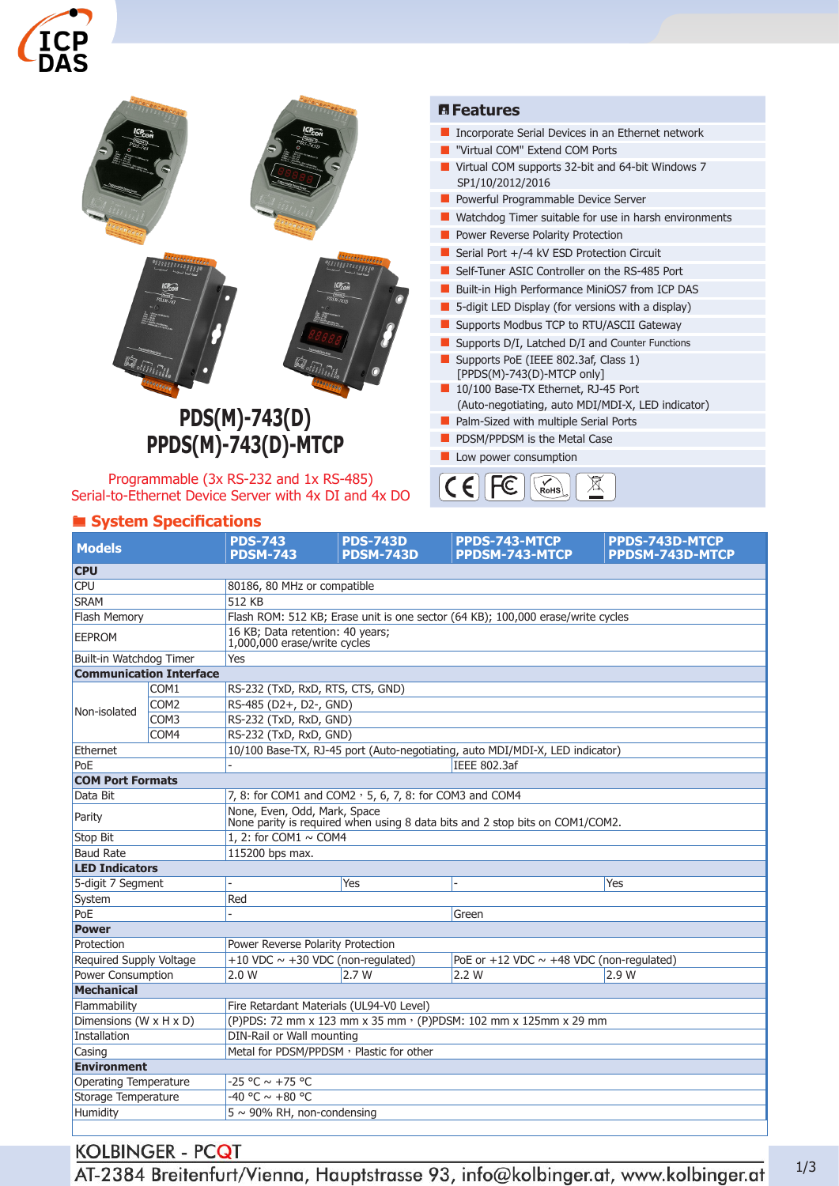



 $\epsilon$ 

 $\big($ 

⊠

Programmable (3x RS-232 and 1x RS-485) Serial-to-Ethernet Device Server with 4x DI and 4x DO

## ® **System Specifications**

| <b>Models</b>                  |                  | <b>PDS-743</b><br><b>PDSM-743</b>                                                                            | <b>PDS-743D</b><br><b>PDSM-743D</b> | PPDS-743-MTCP<br>PPDSM-743-MTCP                 | PPDS-743D-MTCP<br>PPDSM-743D-MTCP |  |  |  |
|--------------------------------|------------------|--------------------------------------------------------------------------------------------------------------|-------------------------------------|-------------------------------------------------|-----------------------------------|--|--|--|
| <b>CPU</b>                     |                  |                                                                                                              |                                     |                                                 |                                   |  |  |  |
| <b>CPU</b>                     |                  | 80186, 80 MHz or compatible                                                                                  |                                     |                                                 |                                   |  |  |  |
| <b>SRAM</b>                    |                  | 512 KB                                                                                                       |                                     |                                                 |                                   |  |  |  |
| <b>Flash Memory</b>            |                  | Flash ROM: 512 KB; Erase unit is one sector (64 KB); 100,000 erase/write cycles                              |                                     |                                                 |                                   |  |  |  |
| <b>EEPROM</b>                  |                  | 16 KB; Data retention: 40 years;<br>1,000,000 erase/write cycles                                             |                                     |                                                 |                                   |  |  |  |
| Built-in Watchdog Timer        |                  | Yes                                                                                                          |                                     |                                                 |                                   |  |  |  |
| <b>Communication Interface</b> |                  |                                                                                                              |                                     |                                                 |                                   |  |  |  |
|                                | COM1             | RS-232 (TxD, RxD, RTS, CTS, GND)                                                                             |                                     |                                                 |                                   |  |  |  |
|                                | COM <sub>2</sub> | RS-485 (D2+, D2-, GND)                                                                                       |                                     |                                                 |                                   |  |  |  |
| Non-isolated                   | COM3             | RS-232 (TxD, RxD, GND)                                                                                       |                                     |                                                 |                                   |  |  |  |
|                                | COM4             | RS-232 (TxD, RxD, GND)                                                                                       |                                     |                                                 |                                   |  |  |  |
| Ethernet                       |                  | 10/100 Base-TX, RJ-45 port (Auto-negotiating, auto MDI/MDI-X, LED indicator)                                 |                                     |                                                 |                                   |  |  |  |
| PoE                            |                  | IEEE 802.3af                                                                                                 |                                     |                                                 |                                   |  |  |  |
| <b>COM Port Formats</b>        |                  |                                                                                                              |                                     |                                                 |                                   |  |  |  |
| Data Bit                       |                  | 7, 8: for COM1 and COM2, 5, 6, 7, 8: for COM3 and COM4                                                       |                                     |                                                 |                                   |  |  |  |
| Parity                         |                  | None, Even, Odd, Mark, Space<br>None parity is required when using 8 data bits and 2 stop bits on COM1/COM2. |                                     |                                                 |                                   |  |  |  |
| Stop Bit                       |                  | 1, 2: for COM1 $\sim$ COM4                                                                                   |                                     |                                                 |                                   |  |  |  |
| <b>Baud Rate</b>               |                  | 115200 bps max.                                                                                              |                                     |                                                 |                                   |  |  |  |
| <b>LED Indicators</b>          |                  |                                                                                                              |                                     |                                                 |                                   |  |  |  |
| 5-digit 7 Segment              |                  |                                                                                                              | Yes                                 |                                                 | Yes                               |  |  |  |
| System                         |                  | Red                                                                                                          |                                     |                                                 |                                   |  |  |  |
| PoE                            |                  |                                                                                                              |                                     | Green                                           |                                   |  |  |  |
| <b>Power</b>                   |                  |                                                                                                              |                                     |                                                 |                                   |  |  |  |
| Protection                     |                  | Power Reverse Polarity Protection                                                                            |                                     |                                                 |                                   |  |  |  |
| <b>Required Supply Voltage</b> |                  | +10 VDC $\sim$ +30 VDC (non-regulated)                                                                       |                                     | PoE or $+12$ VDC $\sim$ +48 VDC (non-regulated) |                                   |  |  |  |
| Power Consumption              |                  | 2.0 W                                                                                                        | 2.7W                                | 2.2 W                                           | 2.9 W                             |  |  |  |
| Mechanical                     |                  |                                                                                                              |                                     |                                                 |                                   |  |  |  |
| Flammability                   |                  | Fire Retardant Materials (UL94-V0 Level)                                                                     |                                     |                                                 |                                   |  |  |  |
| Dimensions (W x H x D)         |                  | (P)PDS: 72 mm x 123 mm x 35 mm · (P)PDSM: 102 mm x 125mm x 29 mm                                             |                                     |                                                 |                                   |  |  |  |
| Installation                   |                  | DIN-Rail or Wall mounting                                                                                    |                                     |                                                 |                                   |  |  |  |
| Casing                         |                  | Metal for PDSM/PPDSM, Plastic for other                                                                      |                                     |                                                 |                                   |  |  |  |
| <b>Environment</b>             |                  |                                                                                                              |                                     |                                                 |                                   |  |  |  |
| Operating Temperature          |                  | $-25 °C \sim +75 °C$                                                                                         |                                     |                                                 |                                   |  |  |  |
| Storage Temperature            |                  | -40 °C $\sim$ +80 °C                                                                                         |                                     |                                                 |                                   |  |  |  |
| Humidity                       |                  | $5 \sim 90\%$ RH, non-condensing                                                                             |                                     |                                                 |                                   |  |  |  |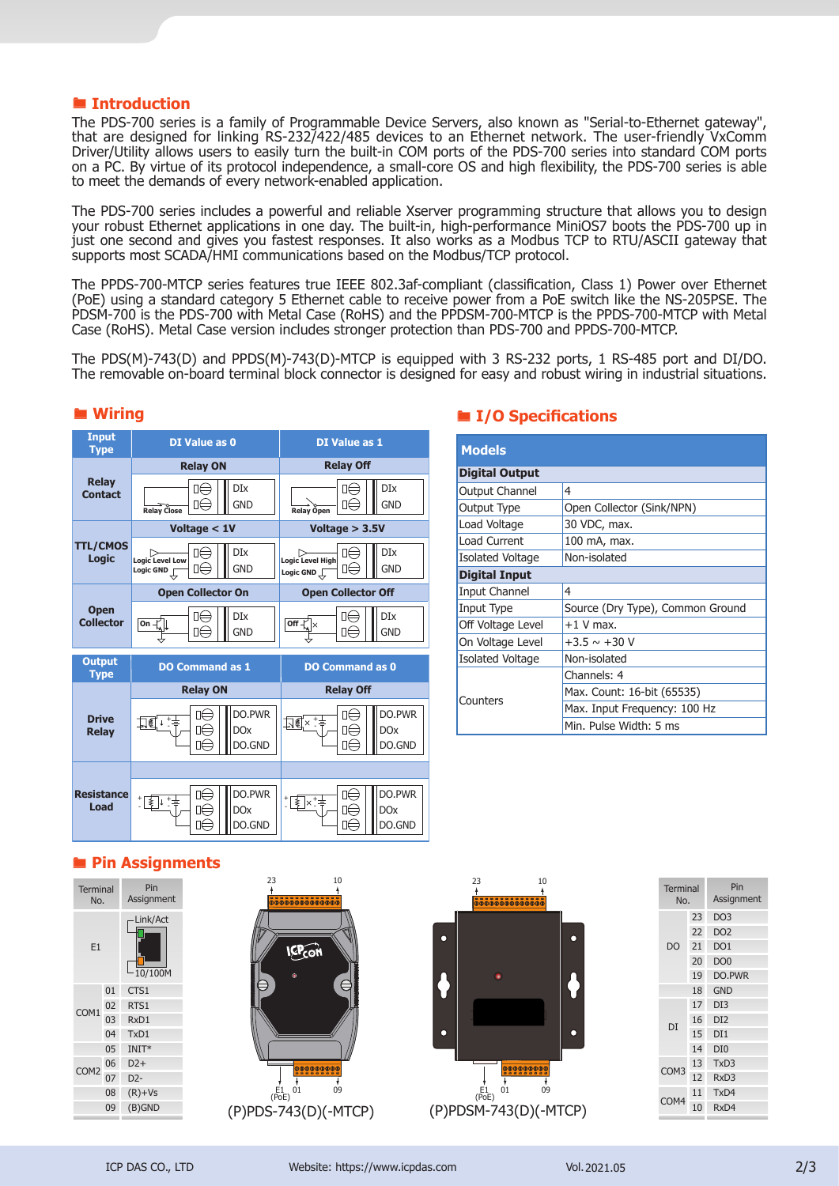#### ® **Introduction**

The PDS-700 series is a family of Programmable Device Servers, also known as "Serial-to-Ethernet gateway", that are designed for linking RS-232/422/485 devices to an Ethernet network. The user-friendly VxComm Driver/Utility allows users to easily turn the built-in COM ports of the PDS-700 series into standard COM ports on a PC. By virtue of its protocol independence, a small-core OS and high flexibility, the PDS-700 series is able to meet the demands of every network-enabled application.

The PDS-700 series includes a powerful and reliable Xserver programming structure that allows you to design your robust Ethernet applications in one day. The built-in, high-performance MiniOS7 boots the PDS-700 up in just one second and gives you fastest responses. It also works as a Modbus TCP to RTU/ASCII gateway that supports most SCADA/HMI communications based on the Modbus/TCP protocol.

The PPDS-700-MTCP series features true IEEE 802.3af-compliant (classification, Class 1) Power over Ethernet (PoE) using a standard category 5 Ethernet cable to receive power from a PoE switch like the NS-205PSE. The PDSM-700 is the PDS-700 with Metal Case (RoHS) and the PPDSM-700-MTCP is the PPDS-700-MTCP with Metal Case (RoHS). Metal Case version includes stronger protection than PDS-700 and PPDS-700-MTCP.

The PDS(M)-743(D) and PPDS(M)-743(D)-MTCP is equipped with 3 RS-232 ports, 1 RS-485 port and DI/DO. The removable on-board terminal block connector is designed for easy and robust wiring in industrial situations.



#### ® **Wiring**

#### ® **I/O Specifications**

| <b>Models</b>           |                                  |  |  |  |  |  |
|-------------------------|----------------------------------|--|--|--|--|--|
| <b>Digital Output</b>   |                                  |  |  |  |  |  |
| <b>Output Channel</b>   | 4                                |  |  |  |  |  |
| Output Type             | Open Collector (Sink/NPN)        |  |  |  |  |  |
| Load Voltage            | 30 VDC, max.                     |  |  |  |  |  |
| Load Current            | 100 mA, max.                     |  |  |  |  |  |
| <b>Isolated Voltage</b> | Non-isolated                     |  |  |  |  |  |
| <b>Digital Input</b>    |                                  |  |  |  |  |  |
| Input Channel           | 4                                |  |  |  |  |  |
| Input Type              | Source (Dry Type), Common Ground |  |  |  |  |  |
| Off Voltage Level       | $+1$ V max.                      |  |  |  |  |  |
| On Voltage Level        | $+3.5 \sim +30$ V                |  |  |  |  |  |
| <b>Isolated Voltage</b> | Non-isolated                     |  |  |  |  |  |
|                         | Channels: 4                      |  |  |  |  |  |
| Counters                | Max. Count: 16-bit (65535)       |  |  |  |  |  |
|                         | Max. Input Frequency: 100 Hz     |  |  |  |  |  |
|                         | Min. Pulse Width: 5 ms           |  |  |  |  |  |

## ® **Pin Assignments**

| <b>Terminal</b><br>No. |    | Pin<br>Assignment   |
|------------------------|----|---------------------|
| E1                     |    | Link/Act<br>10/100M |
|                        | 01 | CTS1                |
| COM1                   | 02 | RTS1                |
|                        | 03 | RxD1                |
|                        | 04 | TxD1                |
| 05                     |    | $INT*$              |
| COM <sub>2</sub>       | 06 | $D2+$               |
|                        | 07 | $D2-$               |
| 08                     |    | $(R)+Vs$            |
| 09                     |    | $(B)$ GND           |
|                        |    |                     |





|    | Pin<br>Assignment      |
|----|------------------------|
| 23 | DO <sub>3</sub>        |
| 22 | DO <sub>2</sub>        |
| 21 | DO <sub>1</sub>        |
| 20 | DO <sub>0</sub>        |
| 19 | DO.PWR                 |
| 18 | <b>GND</b>             |
| 17 | DI3                    |
| 16 | DI <sub>2</sub>        |
| 15 | DI1                    |
| 14 | DI <sub>0</sub>        |
| 13 | TxD3                   |
| 12 | RxD <sub>3</sub>       |
| 11 | TxD4                   |
| 10 | RxD4                   |
|    | <b>Terminal</b><br>No. |